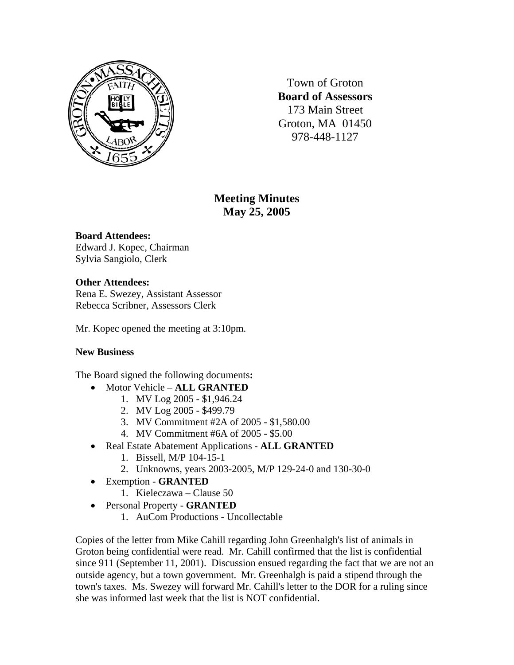

Town of Groton **Board of Assessors**  173 Main Street Groton, MA 01450 978-448-1127

# **Meeting Minutes May 25, 2005**

## **Board Attendees:**

Edward J. Kopec, Chairman Sylvia Sangiolo, Clerk

## **Other Attendees:**

Rena E. Swezey, Assistant Assessor Rebecca Scribner, Assessors Clerk

Mr. Kopec opened the meeting at 3:10pm.

#### **New Business**

The Board signed the following documents**:**

- Motor Vehicle **ALL GRANTED**
	- 1. MV Log 2005 \$1,946.24
	- 2. MV Log 2005 \$499.79
	- 3. MV Commitment #2A of 2005 \$1,580.00
	- 4. MV Commitment #6A of 2005 \$5.00
- Real Estate Abatement Applications **ALL GRANTED**
	- 1. Bissell, M/P 104-15-1
	- 2. Unknowns, years 2003-2005, M/P 129-24-0 and 130-30-0
- Exemption **GRANTED**
	- 1. Kieleczawa Clause 50
- Personal Property **GRANTED**
	- 1. AuCom Productions Uncollectable

Copies of the letter from Mike Cahill regarding John Greenhalgh's list of animals in Groton being confidential were read. Mr. Cahill confirmed that the list is confidential since 911 (September 11, 2001). Discussion ensued regarding the fact that we are not an outside agency, but a town government. Mr. Greenhalgh is paid a stipend through the town's taxes. Ms. Swezey will forward Mr. Cahill's letter to the DOR for a ruling since she was informed last week that the list is NOT confidential.